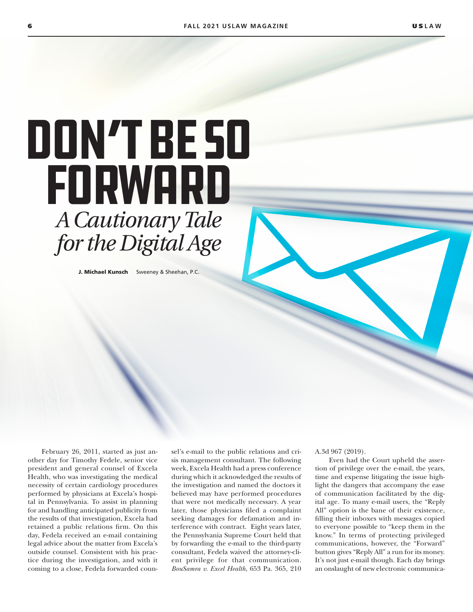# Don't Be So Forward *A Cautionary Tale for the Digital Age*

J. Michael Kunsch Sweeney & Sheehan, P.C.

February 26, 2011, started as just another day for Timothy Fedele, senior vice president and general counsel of Excela Health, who was investigating the medical necessity of certain cardiology procedures performed by physicians at Excela's hospital in Pennsylvania. To assist in planning for and handling anticipated publicity from the results of that investigation, Excela had retained a public relations firm. On this day, Fedela received an e-mail containing legal advice about the matter from Excela's outside counsel. Consistent with his practice during the investigation, and with it coming to a close, Fedela forwarded coun-

sel's e-mail to the public relations and crisis management consultant. The following week, Excela Health had a press conference during which it acknowledged the results of the investigation and named the doctors it believed may have performed procedures that were not medically necessary. A year later, those physicians filed a complaint seeking damages for defamation and interference with contract. Eight years later, the Pennsylvania Supreme Court held that by forwarding the e-mail to the third-party consultant, Fedela waived the attorney-client privilege for that communication. *BouSamra v. Excel Health*, 653 Pa. 365, 210 A.3d 967 (2019).

Even had the Court upheld the assertion of privilege over the e-mail, the years, time and expense litigating the issue highlight the dangers that accompany the ease of communication facilitated by the digital age. To many e-mail users, the "Reply All" option is the bane of their existence, filling their inboxes with messages copied to everyone possible to "keep them in the know." In terms of protecting privileged communications, however, the "Forward" button gives "Reply All" a run for its money. It's not just e-mail though. Each day brings an onslaught of new electronic communica